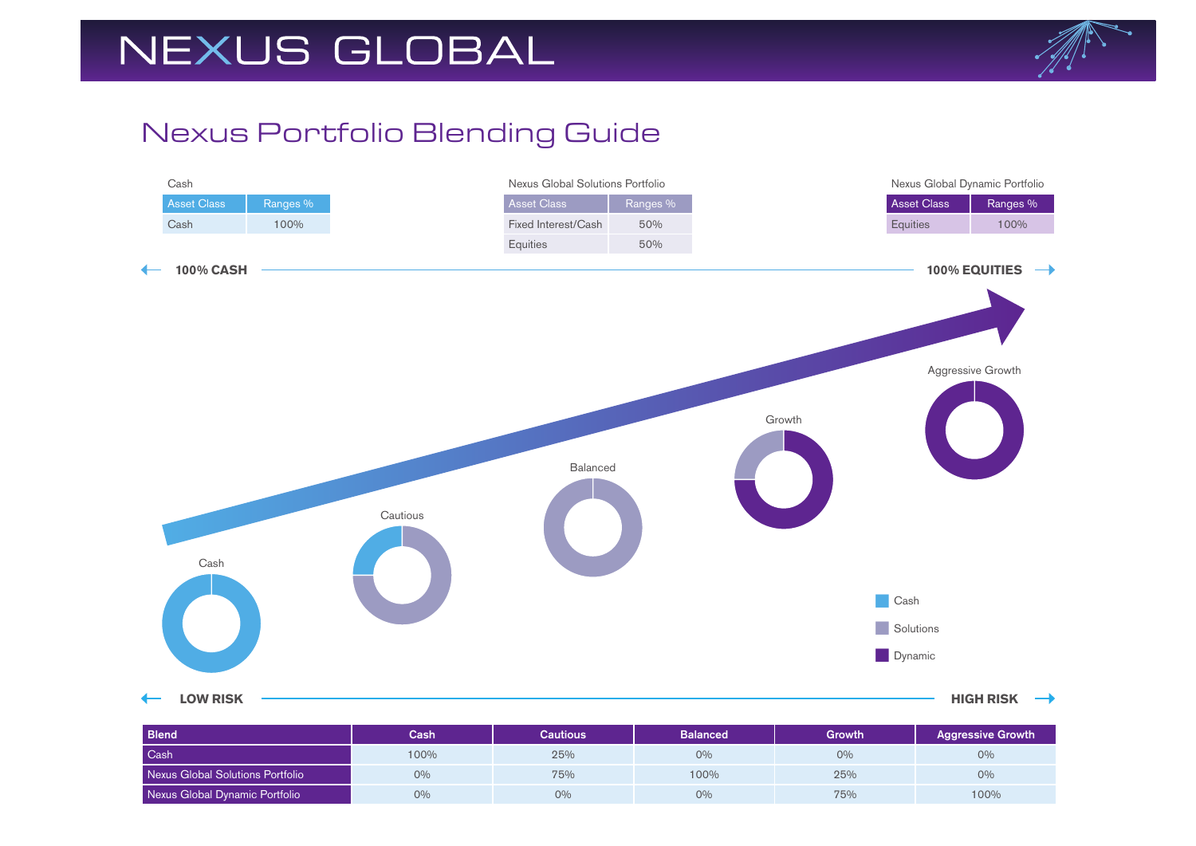# NEXUS GLOBAL



### Nexus Portfolio Blending Guide



| <b>Blend</b>                     | Cash | Cautious | <b>Balanced</b> | Growth | <b>Aggressive Growth</b> |
|----------------------------------|------|----------|-----------------|--------|--------------------------|
| Cash                             | 100% | 25%      | 0%              | 0%     | $0\%$                    |
| Nexus Global Solutions Portfolio | 0%   | 75%      | 100%            | 25%    | 0%                       |
| Nexus Global Dynamic Portfolio   | 0%   | 0%       | $O\%$           | 75%    | 100%                     |